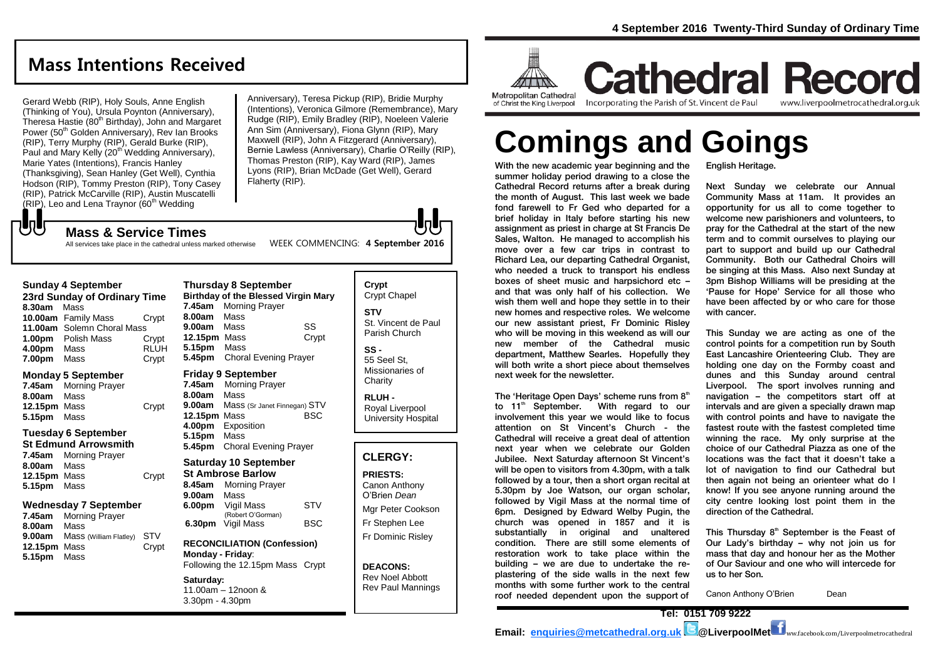# **Mass Intentions Received**

Gerard Webb (RIP), Holy Souls, Anne English (Thinking of You), Ursula Poynton (Anniversary), Theresa Hastie (80<sup>th</sup> Birthday), John and Margaret Power (50<sup>th</sup> Golden Anniversary), Rev Ian Brooks (RIP), Terry Murphy (RIP), Gerald Burke (RIP), Paul and Mary Kelly (20<sup>th</sup> Wedding Anniversary), Marie Yates (Intentions), Francis Hanley (Thanksgiving), Sean Hanley (Get Well), Cynthia Hodson (RIP), Tommy Preston (RIP), Tony Casey (RIP), Patrick McCarville (RIP), Austin Muscatelli  $(RIP)$ , Leo and Lena Traynor (60<sup>th</sup> Wedding

Anniversary), Teresa Pickup (RIP), Bridie Murphy (Intentions), Veronica Gilmore (Remembrance), Mary Rudge (RIP), Emily Bradley (RIP), Noeleen Valerie Ann Sim (Anniversary), Fiona Glynn (RIP), Mary Maxwell (RIP), John A Fitzgerard (Anniversary), Bernie Lawless (Anniversary), Charlie O'Reilly (RIP), Thomas Preston (RIP), Kay Ward (RIP), James Lyons (RIP), Brian McDade (Get Well), Gerard Flaherty (RIP).

もし

#### **Mass & Service Times**

All services take place in the cathedral unless marked otherwise WEEK COMMENCING: 4 September 2016

#### **Sunday 4 September**

| 23rd Sunday of Ordinary Time |                            |             |  |  |
|------------------------------|----------------------------|-------------|--|--|
| 8.30am                       | Mass                       |             |  |  |
|                              | 10.00am Family Mass        | Crvpt       |  |  |
|                              | 11.00am Solemn Choral Mass |             |  |  |
|                              | 1.00pm Polish Mass         | Crypt       |  |  |
| 4.00pm                       | Mass                       | <b>RLUH</b> |  |  |
| 7.00pm                       | Mass                       | Crypt       |  |  |

#### **Monday 5 September**

**7.45am** Morning Prayer **8.00am** Mass 12.15pm Mass Crypt **5.15pm** Mass

#### **Tuesday 6 September**

**St Edmund Arrowsmith 7.45am** Morning Prayer

| 8.00am Mass  |       |
|--------------|-------|
| 12.15pm Mass | Crypt |
| 5.15pm Mass  |       |
|              |       |

#### **Wednesday 7 September**

| 7.45am       | <b>Morning Prayer</b>                |            |
|--------------|--------------------------------------|------------|
| 8.00am       | Mass                                 |            |
|              | <b>9.00am</b> Mass (William Flatley) | <b>STV</b> |
| 12.15pm Mass |                                      | Crypt      |
| 5.15pm Mass  |                                      |            |

#### **Thursday 8 September Birthday of the Blessed Virgin Mary 7.45am** Morning Prayer **8.00am** Mass **9.00am** Mass SS **12.15pm** Mass Crypt **5.15pm** Mass **5.45pm** Choral Evening Prayer

#### **Friday 9 September**

**7.45am** Morning Prayer **8.00am** Mass **9.00am** Mass (Sr Janet Finnegan) STV<br>**12.15pm** Mass BSC **12.15pm Mass 4.00pm** Exposition **5.15pm** Mass **5.45pm** Choral Evening Prayer

#### **Saturday 10 September St Ambrose Barlow 8.45am** Morning Prayer

**9.00am** Mass **6.00pm** Vigil Mass STV (Robert O'Gorman) **6.30pm Vigil Mass** BSC

#### **RECONCILIATION (Confession) Monday - Friday**: Following the 12.15pm Mass Crypt

**Saturday:** 11.00am – 12noon & 3.30pm - 4.30pm

#### **Crypt**  Crypt Chapel **STV** St. Vincent de Paul Parish Church **SS -**

55 Seel St, Missionaries of **Charity** 

**RLUH -** Royal Liverpool University Hospital

#### **CLERGY:**

**PRIESTS:** Canon Anthony O'Brien *Dean* Mgr Peter Cookson Fr Stephen Lee Fr Dominic Risley

**DEACONS:** Rev Noel Abbott Rev Paul Mannings



of Christ the King Liverpool

Incorporating the Parish of St. Vincent de Paul

**Cathedral Record** www.liverpoolmetrocathedral.org.uk

# **Comings and Goings**

With the new academic year beginning and the summer holiday period drawing to a close the Cathedral Record returns after a break during the month of August. This last week we bade fond farewell to Fr Ged who departed for a brief holiday in Italy before starting his new assignment as priest in charge at St Francis De Sales, Walton. He managed to accomplish his move over a few car trips in contrast to Richard Lea, our departing Cathedral Organist, who needed a truck to transport his endless boxes of sheet music and harpsichord etc – and that was only half of his collection. We wish them well and hope they settle in to their new homes and respective roles. We welcome our new assistant priest, Fr Dominic Risley who will be moving in this weekend as will our new member of the Cathedral music department, Matthew Searles. Hopefully they will both write a short piece about themselves next week for the newsletter.

The 'Heritage Open Days' scheme runs from  $8<sup>th</sup>$ to 11<sup>th</sup> September. With regard to our involvement this year we would like to focus attention on St Vincent's Church - the Cathedral will receive a great deal of attention next year when we celebrate our Golden Jubilee. Next Saturday afternoon St Vincent's will be open to visitors from 4.30pm, with a talk followed by a tour, then a short organ recital at 5.30pm by Joe Watson, our organ scholar, followed by Vigil Mass at the normal time of 6pm. Designed by Edward Welby Pugin, the church was opened in 1857 and it is substantially in original and unaltered condition. There are still some elements of restoration work to take place within the building – we are due to undertake the replastering of the side walls in the next few months with some further work to the central roof needed dependent upon the support of

English Heritage.

Next Sunday we celebrate our Annual Community Mass at 11am. It provides an opportunity for us all to come together to welcome new parishioners and volunteers, to pray for the Cathedral at the start of the new term and to commit ourselves to playing our part to support and build up our Cathedral Community. Both our Cathedral Choirs will be singing at this Mass. Also next Sunday at 3pm Bishop Williams will be presiding at the 'Pause for Hope' Service for all those who have been affected by or who care for those with cancer.

This Sunday we are acting as one of the control points for a competition run by South East Lancashire Orienteering Club. They are holding one day on the Formby coast and dunes and this Sunday around central Liverpool. The sport involves running and navigation – the competitors start off at intervals and are given a specially drawn map with control points and have to navigate the fastest route with the fastest completed time winning the race. My only surprise at the choice of our Cathedral Piazza as one of the locations was the fact that it doesn't take a lot of navigation to find our Cathedral but then again not being an orienteer what do I know! If you see anyone running around the city centre looking lost point them in the direction of the Cathedral.

This Thursday  $8<sup>th</sup>$  September is the Feast of Our Lady's birthday – why not join us for mass that day and honour her as the Mother of Our Saviour and one who will intercede for us to her Son.

Canon Anthony O'Brien Dean